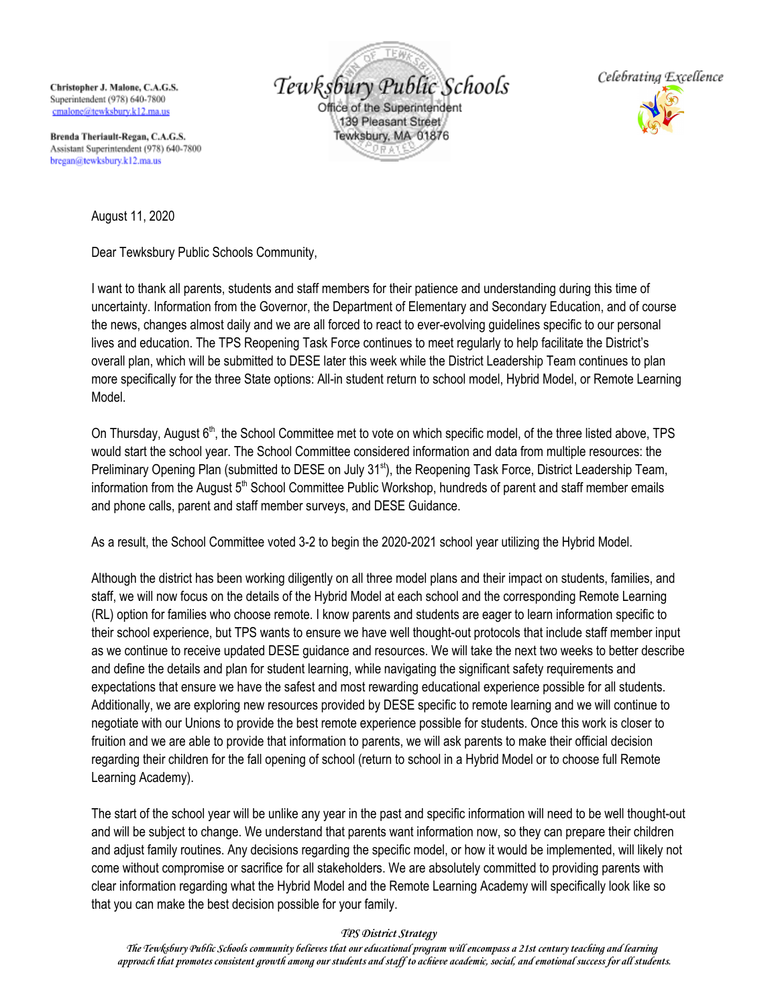Christopher J. Malone, C.A.G.S. Superintendent (978) 640-7800 cmalone@tewksburv.k12.ma.us

Brenda Theriault-Regan, C.A.G.S. Assistant Superintendent (978) 640-7800 bregan@tewksbury.k12.ma.us





August 11, 2020

Dear Tewksbury Public Schools Community,

I want to thank all parents, students and staff members for their patience and understanding during this time of uncertainty. Information from the Governor, the Department of Elementary and Secondary Education, and of course the news, changes almost daily and we are all forced to react to ever-evolving guidelines specific to our personal lives and education. The TPS Reopening Task Force continues to meet regularly to help facilitate the District's overall plan, which will be submitted to DESE later this week while the District Leadership Team continues to plan more specifically for the three State options: All-in student return to school model, Hybrid Model, or Remote Learning Model.

On Thursday, August 6<sup>th</sup>, the School Committee met to vote on which specific model, of the three listed above, TPS would start the school year. The School Committee considered information and data from multiple resources: the Preliminary Opening Plan (submitted to DESE on July 31<sup>st</sup>), the Reopening Task Force, District Leadership Team, information from the August 5<sup>th</sup> School Committee Public Workshop, hundreds of parent and staff member emails and phone calls, parent and staff member surveys, and DESE Guidance.

As a result, the School Committee voted 3-2 to begin the 2020-2021 school year utilizing the Hybrid Model.

Although the district has been working diligently on all three model plans and their impact on students, families, and staff, we will now focus on the details of the Hybrid Model at each school and the corresponding Remote Learning (RL) option for families who choose remote. I know parents and students are eager to learn information specific to their school experience, but TPS wants to ensure we have well thought-out protocols that include staff member input as we continue to receive updated DESE guidance and resources. We will take the next two weeks to better describe and define the details and plan for student learning, while navigating the significant safety requirements and expectations that ensure we have the safest and most rewarding educational experience possible for all students. Additionally, we are exploring new resources provided by DESE specific to remote learning and we will continue to negotiate with our Unions to provide the best remote experience possible for students. Once this work is closer to fruition and we are able to provide that information to parents, we will ask parents to make their official decision regarding their children for the fall opening of school (return to school in a Hybrid Model or to choose full Remote Learning Academy).

The start of the school year will be unlike any year in the past and specific information will need to be well thought-out and will be subject to change. We understand that parents want information now, so they can prepare their children and adjust family routines. Any decisions regarding the specific model, or how it would be implemented, will likely not come without compromise or sacrifice for all stakeholders. We are absolutely committed to providing parents with clear information regarding what the Hybrid Model and the Remote Learning Academy will specifically look like so that you can make the best decision possible for your family.

## *TPS District Strategy*

*The Tewksbury Public Schools community believes that our educational program will encompass a 21st century teaching and learning approach that promotes consistent growth among our students and staff to achieve academic, social, and emotional success for all students.*